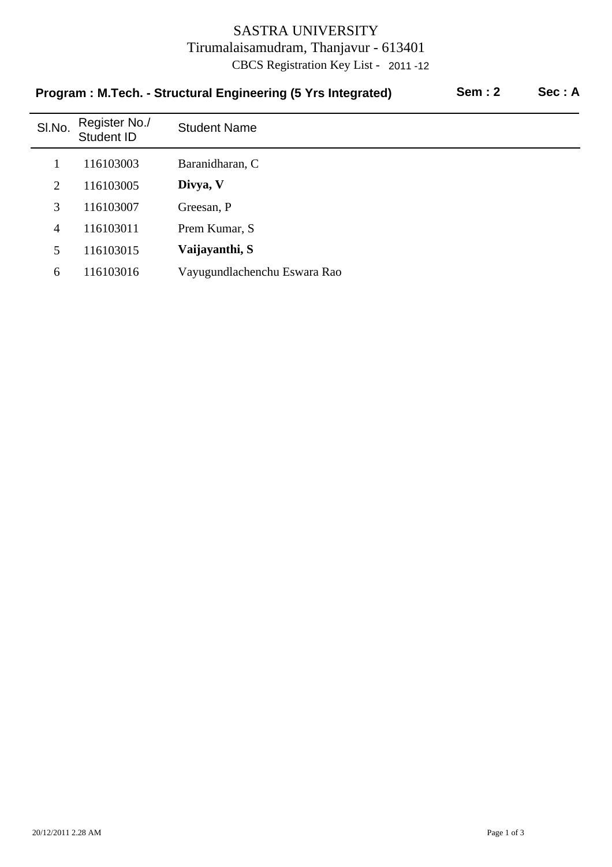## SASTRA UNIVERSITY Tirumalaisamudram, Thanjavur - 613401 CBCS Registration Key List - 2011 -12

| <b>Sem: 2</b><br>Program: M.Tech. - Structural Engineering (5 Yrs Integrated) |                             |                              |  |  |  |
|-------------------------------------------------------------------------------|-----------------------------|------------------------------|--|--|--|
| SI.No.                                                                        | Register No./<br>Student ID | <b>Student Name</b>          |  |  |  |
|                                                                               | 116103003                   | Baranidharan, C              |  |  |  |
| 2                                                                             | 116103005                   | Divya, V                     |  |  |  |
| 3                                                                             | 116103007                   | Greesan, P                   |  |  |  |
| 4                                                                             | 116103011                   | Prem Kumar, S                |  |  |  |
| 5                                                                             | 116103015                   | Vaijayanthi, S               |  |  |  |
| 6                                                                             | 116103016                   | Vayugundlachenchu Eswara Rao |  |  |  |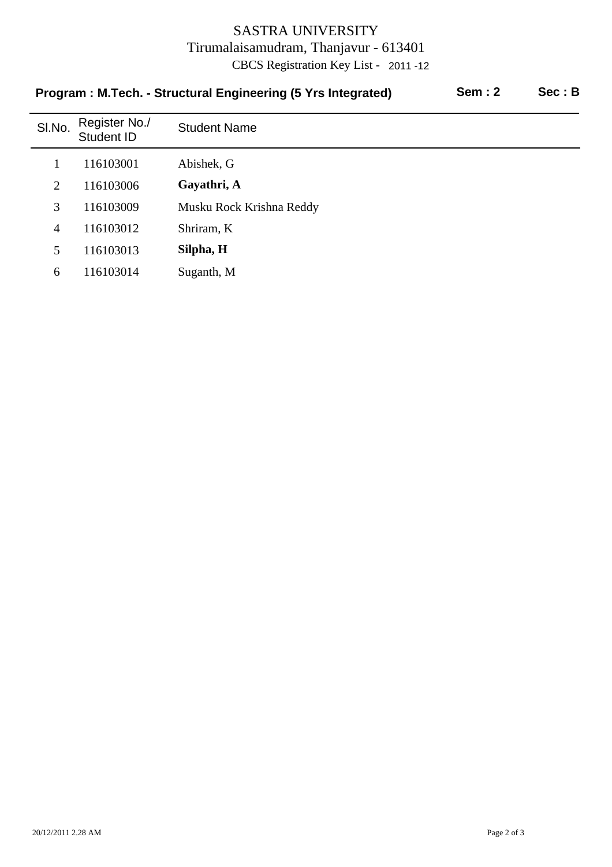## SASTRA UNIVERSITY Tirumalaisamudram, Thanjavur - 613401 CBCS Registration Key List - 2011 -12

| <b>Sem: 2</b><br>Program: M.Tech. - Structural Engineering (5 Yrs Integrated) |                             |                          |  |  |  |
|-------------------------------------------------------------------------------|-----------------------------|--------------------------|--|--|--|
| SI.No.                                                                        | Register No./<br>Student ID | <b>Student Name</b>      |  |  |  |
|                                                                               | 116103001                   | Abishek, G               |  |  |  |
| 2                                                                             | 116103006                   | Gayathri, A              |  |  |  |
| 3                                                                             | 116103009                   | Musku Rock Krishna Reddy |  |  |  |
| $\overline{4}$                                                                | 116103012                   | Shriram, K               |  |  |  |
| 5                                                                             | 116103013                   | Silpha, H                |  |  |  |
| 6                                                                             | 116103014                   | Suganth, M               |  |  |  |